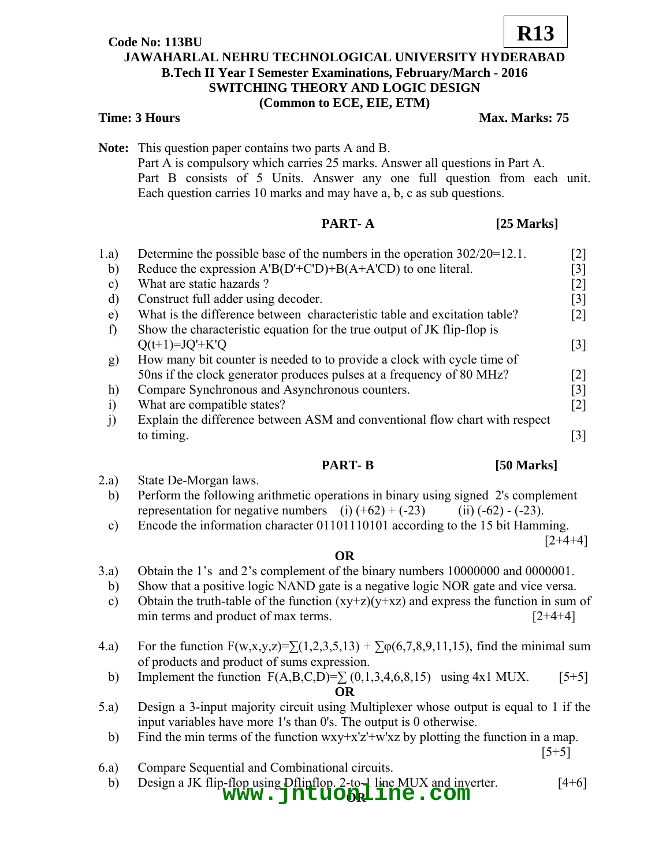# **Code No: 113BU**

# **JAWAHARLAL NEHRU TECHNOLOGICAL UNIVERSITY HYDERABAD B.Tech II Year I Semester Examinations, February/March - 2016 SWITCHING THEORY AND LOGIC DESIGN (Common to ECE, EIE, ETM)**

## **Time: 3 Hours Max. Marks: 75**

**Note:** This question paper contains two parts A and B. Part A is compulsory which carries 25 marks. Answer all questions in Part A. Part B consists of 5 Units. Answer any one full question from each unit. Each question carries 10 marks and may have a, b, c as sub questions.

# **PART- A** [25 Marks]

| 1.a)          | Determine the possible base of the numbers in the operation $302/20=12.1$ . | $[2]$             |
|---------------|-----------------------------------------------------------------------------|-------------------|
| b)            | Reduce the expression $A'B(D'+C'D)+B(A+A'CD)$ to one literal.               | [3]               |
| $\mathbf{c})$ | What are static hazards?                                                    | $[2]$             |
| d)            | Construct full adder using decoder.                                         | $[3]$             |
| e)            | What is the difference between characteristic table and excitation table?   | $\lceil 2 \rceil$ |
| f)            | Show the characteristic equation for the true output of JK flip-flop is     |                   |
|               | $Q(t+1)=JQ'+K'Q$                                                            | $\lceil 3 \rceil$ |
| g)            | How many bit counter is needed to to provide a clock with cycle time of     |                   |
|               | 50 f the clock generator produces pulses at a frequency of 80 MHz?          | $\lceil 2 \rceil$ |
| h)            | Compare Synchronous and Asynchronous counters.                              | $\lceil 3 \rceil$ |
| $\ddot{1}$    | What are compatible states?                                                 | $\lceil 2 \rceil$ |
| j)            | Explain the difference between ASM and conventional flow chart with respect |                   |
|               | to timing.                                                                  | 3                 |
|               |                                                                             |                   |

### **PART- B** [50 Marks]

- 2.a) State De-Morgan laws. b) Perform the following arithmetic operations in binary using signed 2's complement representation for negative numbers (i)  $(+62) + (-23)$  (ii)  $(-62) - (-23)$ .
	- c) Encode the information character 01101110101 according to the 15 bit Hamming.

 $[2+4+4]$ 

### **OR**

- 3.a) Obtain the 1's and 2's complement of the binary numbers 10000000 and 0000001.
	- b) Show that a positive logic NAND gate is a negative logic NOR gate and vice versa.
	- c) Obtain the truth-table of the function  $(xy+z)(y+xz)$  and express the function in sum of min terms and product of max terms.  $[2+4+4]$
- 4.a) For the function  $F(w,x,y,z) = \sum (1,2,3,5,13) + \sum \varphi(6,7,8,9,11,15)$ , find the minimal sum of products and product of sums expression.
	- b) Implement the function  $F(A, B, C, D) = \sum (0, 1, 3, 4, 6, 8, 15)$  using 4x1 MUX. [5+5] **OR**
- 5.a) Design a 3-input majority circuit using Multiplexer whose output is equal to 1 if the input variables have more 1's than 0's. The output is 0 otherwise.
- b) Find the min terms of the function wxy+x'z'+w'xz by plotting the function in a map.  $[5+5]$
- 6.a) Compare Sequential and Combinational circuits.
- b) Design a JK flip-flop using Dflipflop. 2-to-1 line MUX and inverter. [4+6] **WWW.jntuonaline.com**